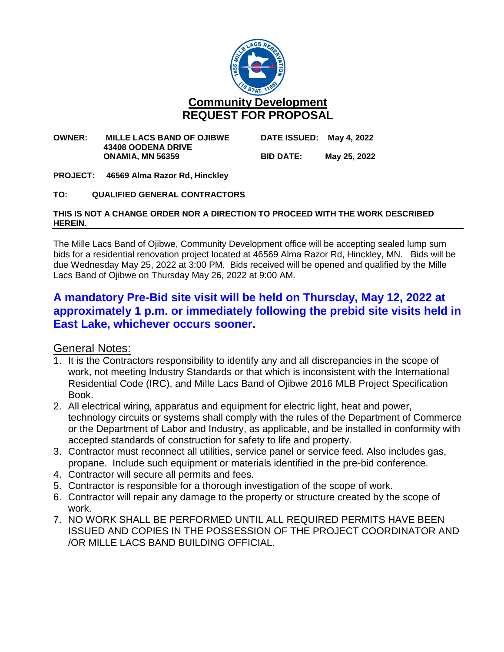

#### **OWNER: MILLE LACS BAND OF OJIBWE DATE ISSUED: May 4, 2022 43408 OODENA DRIVE ONAMIA, MN 56359 BID DATE: May 25, 2022**

**PROJECT: 46569 Alma Razor Rd, Hinckley**

### **TO: QUALIFIED GENERAL CONTRACTORS**

### **THIS IS NOT A CHANGE ORDER NOR A DIRECTION TO PROCEED WITH THE WORK DESCRIBED HEREIN.**

The Mille Lacs Band of Ojibwe, Community Development office will be accepting sealed lump sum bids for a residential renovation project located at 46569 Alma Razor Rd, Hinckley, MN. Bids will be due Wednesday May 25, 2022 at 3:00 PM. Bids received will be opened and qualified by the Mille Lacs Band of Ojibwe on Thursday May 26, 2022 at 9:00 AM.

# **A mandatory Pre-Bid site visit will be held on Thursday, May 12, 2022 at approximately 1 p.m. or immediately following the prebid site visits held in East Lake, whichever occurs sooner.**

### General Notes:

- 1. It is the Contractors responsibility to identify any and all discrepancies in the scope of work, not meeting Industry Standards or that which is inconsistent with the International Residential Code (IRC), and Mille Lacs Band of Ojibwe 2016 MLB Project Specification Book.
- 2. All electrical wiring, apparatus and equipment for electric light, heat and power, technology circuits or systems shall comply with the rules of the Department of Commerce or the Department of Labor and Industry, as applicable, and be installed in conformity with accepted standards of construction for safety to life and property.
- 3. Contractor must reconnect all utilities, service panel or service feed. Also includes gas, propane. Include such equipment or materials identified in the pre-bid conference.
- 4. Contractor will secure all permits and fees.
- 5. Contractor is responsible for a thorough investigation of the scope of work.
- 6. Contractor will repair any damage to the property or structure created by the scope of work.
- 7. NO WORK SHALL BE PERFORMED UNTIL ALL REQUIRED PERMITS HAVE BEEN ISSUED AND COPIES IN THE POSSESSION OF THE PROJECT COORDINATOR AND /OR MILLE LACS BAND BUILDING OFFICIAL.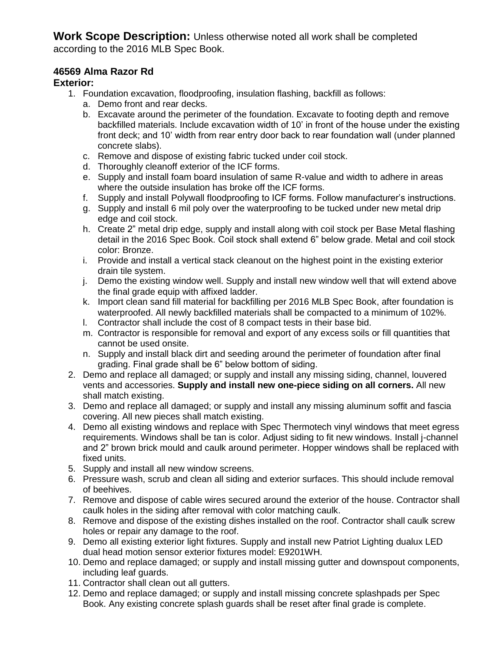**Work Scope Description:** Unless otherwise noted all work shall be completed according to the 2016 MLB Spec Book.

## **46569 Alma Razor Rd**

## **Exterior:**

- 1. Foundation excavation, floodproofing, insulation flashing, backfill as follows:
	- a. Demo front and rear decks.
	- b. Excavate around the perimeter of the foundation. Excavate to footing depth and remove backfilled materials. Include excavation width of 10' in front of the house under the existing front deck; and 10' width from rear entry door back to rear foundation wall (under planned concrete slabs).
	- c. Remove and dispose of existing fabric tucked under coil stock.
	- d. Thoroughly cleanoff exterior of the ICF forms.
	- e. Supply and install foam board insulation of same R-value and width to adhere in areas where the outside insulation has broke off the ICF forms.
	- f. Supply and install Polywall floodproofing to ICF forms. Follow manufacturer's instructions.
	- g. Supply and install 6 mil poly over the waterproofing to be tucked under new metal drip edge and coil stock.
	- h. Create 2" metal drip edge, supply and install along with coil stock per Base Metal flashing detail in the 2016 Spec Book. Coil stock shall extend 6" below grade. Metal and coil stock color: Bronze.
	- i. Provide and install a vertical stack cleanout on the highest point in the existing exterior drain tile system.
	- j. Demo the existing window well. Supply and install new window well that will extend above the final grade equip with affixed ladder.
	- k. Import clean sand fill material for backfilling per 2016 MLB Spec Book, after foundation is waterproofed. All newly backfilled materials shall be compacted to a minimum of 102%.
	- l. Contractor shall include the cost of 8 compact tests in their base bid.
	- m. Contractor is responsible for removal and export of any excess soils or fill quantities that cannot be used onsite.
	- n. Supply and install black dirt and seeding around the perimeter of foundation after final grading. Final grade shall be 6" below bottom of siding.
- 2. Demo and replace all damaged; or supply and install any missing siding, channel, louvered vents and accessories. **Supply and install new one-piece siding on all corners.** All new shall match existing.
- 3. Demo and replace all damaged; or supply and install any missing aluminum soffit and fascia covering. All new pieces shall match existing.
- 4. Demo all existing windows and replace with Spec Thermotech vinyl windows that meet egress requirements. Windows shall be tan is color. Adjust siding to fit new windows. Install j-channel and 2" brown brick mould and caulk around perimeter. Hopper windows shall be replaced with fixed units.
- 5. Supply and install all new window screens.
- 6. Pressure wash, scrub and clean all siding and exterior surfaces. This should include removal of beehives.
- 7. Remove and dispose of cable wires secured around the exterior of the house. Contractor shall caulk holes in the siding after removal with color matching caulk.
- 8. Remove and dispose of the existing dishes installed on the roof. Contractor shall caulk screw holes or repair any damage to the roof.
- 9. Demo all existing exterior light fixtures. Supply and install new Patriot Lighting dualux LED dual head motion sensor exterior fixtures model: E9201WH.
- 10. Demo and replace damaged; or supply and install missing gutter and downspout components, including leaf guards.
- 11. Contractor shall clean out all gutters.
- 12. Demo and replace damaged; or supply and install missing concrete splashpads per Spec Book. Any existing concrete splash guards shall be reset after final grade is complete.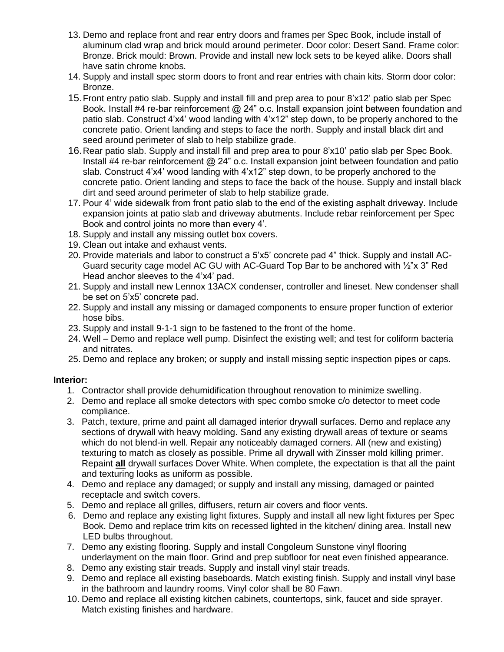- 13. Demo and replace front and rear entry doors and frames per Spec Book, include install of aluminum clad wrap and brick mould around perimeter. Door color: Desert Sand. Frame color: Bronze. Brick mould: Brown. Provide and install new lock sets to be keyed alike. Doors shall have satin chrome knobs.
- 14. Supply and install spec storm doors to front and rear entries with chain kits. Storm door color: Bronze.
- 15.Front entry patio slab. Supply and install fill and prep area to pour 8'x12' patio slab per Spec Book. Install #4 re-bar reinforcement @ 24" o.c. Install expansion joint between foundation and patio slab. Construct 4'x4' wood landing with 4'x12" step down, to be properly anchored to the concrete patio. Orient landing and steps to face the north. Supply and install black dirt and seed around perimeter of slab to help stabilize grade.
- 16.Rear patio slab. Supply and install fill and prep area to pour 8'x10' patio slab per Spec Book. Install #4 re-bar reinforcement @ 24" o.c. Install expansion joint between foundation and patio slab. Construct 4'x4' wood landing with 4'x12" step down, to be properly anchored to the concrete patio. Orient landing and steps to face the back of the house. Supply and install black dirt and seed around perimeter of slab to help stabilize grade.
- 17. Pour 4' wide sidewalk from front patio slab to the end of the existing asphalt driveway. Include expansion joints at patio slab and driveway abutments. Include rebar reinforcement per Spec Book and control joints no more than every 4'.
- 18. Supply and install any missing outlet box covers.
- 19. Clean out intake and exhaust vents.
- 20. Provide materials and labor to construct a 5'x5' concrete pad 4" thick. Supply and install AC-Guard security cage model AC GU with AC-Guard Top Bar to be anchored with ½"x 3" Red Head anchor sleeves to the 4'x4' pad.
- 21. Supply and install new Lennox 13ACX condenser, controller and lineset. New condenser shall be set on 5'x5' concrete pad.
- 22. Supply and install any missing or damaged components to ensure proper function of exterior hose bibs.
- 23. Supply and install 9-1-1 sign to be fastened to the front of the home.
- 24. Well Demo and replace well pump. Disinfect the existing well; and test for coliform bacteria and nitrates.
- 25. Demo and replace any broken; or supply and install missing septic inspection pipes or caps.

## **Interior:**

- 1. Contractor shall provide dehumidification throughout renovation to minimize swelling.
- 2. Demo and replace all smoke detectors with spec combo smoke c/o detector to meet code compliance.
- 3. Patch, texture, prime and paint all damaged interior drywall surfaces. Demo and replace any sections of drywall with heavy molding. Sand any existing drywall areas of texture or seams which do not blend-in well. Repair any noticeably damaged corners. All (new and existing) texturing to match as closely as possible. Prime all drywall with Zinsser mold killing primer. Repaint **all** drywall surfaces Dover White. When complete, the expectation is that all the paint and texturing looks as uniform as possible.
- 4. Demo and replace any damaged; or supply and install any missing, damaged or painted receptacle and switch covers.
- 5. Demo and replace all grilles, diffusers, return air covers and floor vents.
- 6. Demo and replace any existing light fixtures. Supply and install all new light fixtures per Spec Book. Demo and replace trim kits on recessed lighted in the kitchen/ dining area. Install new LED bulbs throughout.
- 7. Demo any existing flooring. Supply and install Congoleum Sunstone vinyl flooring underlayment on the main floor. Grind and prep subfloor for neat even finished appearance.
- 8. Demo any existing stair treads. Supply and install vinyl stair treads.
- 9. Demo and replace all existing baseboards. Match existing finish. Supply and install vinyl base in the bathroom and laundry rooms. Vinyl color shall be 80 Fawn.
- 10. Demo and replace all existing kitchen cabinets, countertops, sink, faucet and side sprayer. Match existing finishes and hardware.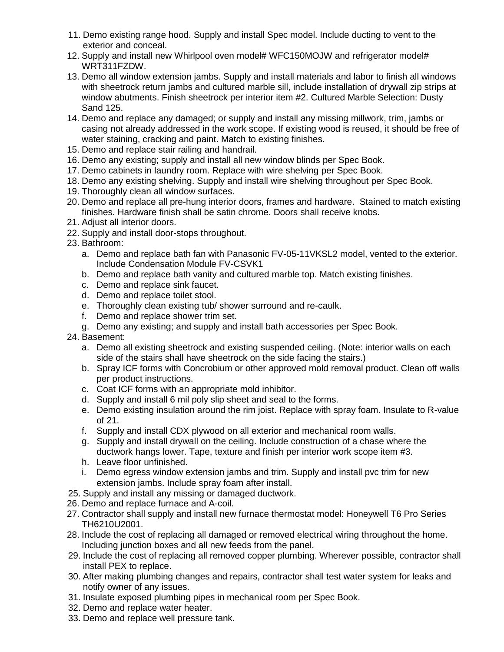- 11. Demo existing range hood. Supply and install Spec model. Include ducting to vent to the exterior and conceal.
- 12. Supply and install new Whirlpool oven model# WFC150MOJW and refrigerator model# WRT311FZDW.
- 13. Demo all window extension jambs. Supply and install materials and labor to finish all windows with sheetrock return jambs and cultured marble sill, include installation of drywall zip strips at window abutments. Finish sheetrock per interior item #2. Cultured Marble Selection: Dusty Sand 125.
- 14. Demo and replace any damaged; or supply and install any missing millwork, trim, jambs or casing not already addressed in the work scope. If existing wood is reused, it should be free of water staining, cracking and paint. Match to existing finishes.
- 15. Demo and replace stair railing and handrail.
- 16. Demo any existing; supply and install all new window blinds per Spec Book.
- 17. Demo cabinets in laundry room. Replace with wire shelving per Spec Book.
- 18. Demo any existing shelving. Supply and install wire shelving throughout per Spec Book.
- 19. Thoroughly clean all window surfaces.
- 20. Demo and replace all pre-hung interior doors, frames and hardware. Stained to match existing finishes. Hardware finish shall be satin chrome. Doors shall receive knobs.
- 21. Adjust all interior doors.
- 22. Supply and install door-stops throughout.
- 23. Bathroom:
	- a. Demo and replace bath fan with Panasonic FV-05-11VKSL2 model, vented to the exterior. Include Condensation Module FV-CSVK1
	- b. Demo and replace bath vanity and cultured marble top. Match existing finishes.
	- c. Demo and replace sink faucet.
	- d. Demo and replace toilet stool.
	- e. Thoroughly clean existing tub/ shower surround and re-caulk.
	- f. Demo and replace shower trim set.
	- g. Demo any existing; and supply and install bath accessories per Spec Book.
- 24. Basement:
	- a. Demo all existing sheetrock and existing suspended ceiling. (Note: interior walls on each side of the stairs shall have sheetrock on the side facing the stairs.)
	- b. Spray ICF forms with Concrobium or other approved mold removal product. Clean off walls per product instructions.
	- c. Coat ICF forms with an appropriate mold inhibitor.
	- d. Supply and install 6 mil poly slip sheet and seal to the forms.
	- e. Demo existing insulation around the rim joist. Replace with spray foam. Insulate to R-value of 21.
	- f. Supply and install CDX plywood on all exterior and mechanical room walls.
	- g. Supply and install drywall on the ceiling. Include construction of a chase where the ductwork hangs lower. Tape, texture and finish per interior work scope item #3.
	- h. Leave floor unfinished.
	- i. Demo egress window extension jambs and trim. Supply and install pvc trim for new extension jambs. Include spray foam after install.
- 25. Supply and install any missing or damaged ductwork.
- 26. Demo and replace furnace and A-coil.
- 27. Contractor shall supply and install new furnace thermostat model: Honeywell T6 Pro Series TH6210U2001.
- 28. Include the cost of replacing all damaged or removed electrical wiring throughout the home. Including junction boxes and all new feeds from the panel.
- 29. Include the cost of replacing all removed copper plumbing. Wherever possible, contractor shall install PEX to replace.
- 30. After making plumbing changes and repairs, contractor shall test water system for leaks and notify owner of any issues.
- 31. Insulate exposed plumbing pipes in mechanical room per Spec Book.
- 32. Demo and replace water heater.
- 33. Demo and replace well pressure tank.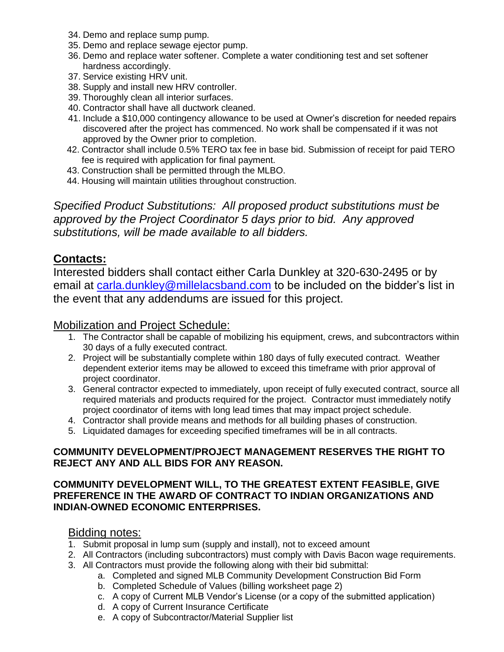- 34. Demo and replace sump pump.
- 35. Demo and replace sewage ejector pump.
- 36. Demo and replace water softener. Complete a water conditioning test and set softener hardness accordingly.
- 37. Service existing HRV unit.
- 38. Supply and install new HRV controller.
- 39. Thoroughly clean all interior surfaces.
- 40. Contractor shall have all ductwork cleaned.
- 41. Include a \$10,000 contingency allowance to be used at Owner's discretion for needed repairs discovered after the project has commenced. No work shall be compensated if it was not approved by the Owner prior to completion.
- 42. Contractor shall include 0.5% TERO tax fee in base bid. Submission of receipt for paid TERO fee is required with application for final payment.
- 43. Construction shall be permitted through the MLBO.
- 44. Housing will maintain utilities throughout construction.

*Specified Product Substitutions: All proposed product substitutions must be approved by the Project Coordinator 5 days prior to bid. Any approved substitutions, will be made available to all bidders.*

## **Contacts:**

Interested bidders shall contact either Carla Dunkley at 320-630-2495 or by email at [carla.dunkley@millelacsband.com](mailto:carla.dunkley@millelacsband.com) to be included on the bidder's list in the event that any addendums are issued for this project.

## Mobilization and Project Schedule:

- 1. The Contractor shall be capable of mobilizing his equipment, crews, and subcontractors within 30 days of a fully executed contract.
- 2. Project will be substantially complete within 180 days of fully executed contract. Weather dependent exterior items may be allowed to exceed this timeframe with prior approval of project coordinator.
- 3. General contractor expected to immediately, upon receipt of fully executed contract, source all required materials and products required for the project. Contractor must immediately notify project coordinator of items with long lead times that may impact project schedule.
- 4. Contractor shall provide means and methods for all building phases of construction.
- 5. Liquidated damages for exceeding specified timeframes will be in all contracts.

### **COMMUNITY DEVELOPMENT/PROJECT MANAGEMENT RESERVES THE RIGHT TO REJECT ANY AND ALL BIDS FOR ANY REASON.**

## **COMMUNITY DEVELOPMENT WILL, TO THE GREATEST EXTENT FEASIBLE, GIVE PREFERENCE IN THE AWARD OF CONTRACT TO INDIAN ORGANIZATIONS AND INDIAN-OWNED ECONOMIC ENTERPRISES.**

## Bidding notes:

- 1. Submit proposal in lump sum (supply and install), not to exceed amount
- 2. All Contractors (including subcontractors) must comply with Davis Bacon wage requirements.
- 3. All Contractors must provide the following along with their bid submittal:
	- a. Completed and signed MLB Community Development Construction Bid Form
	- b. Completed Schedule of Values (billing worksheet page 2)
	- c. A copy of Current MLB Vendor's License (or a copy of the submitted application)
	- d. A copy of Current Insurance Certificate
	- e. A copy of Subcontractor/Material Supplier list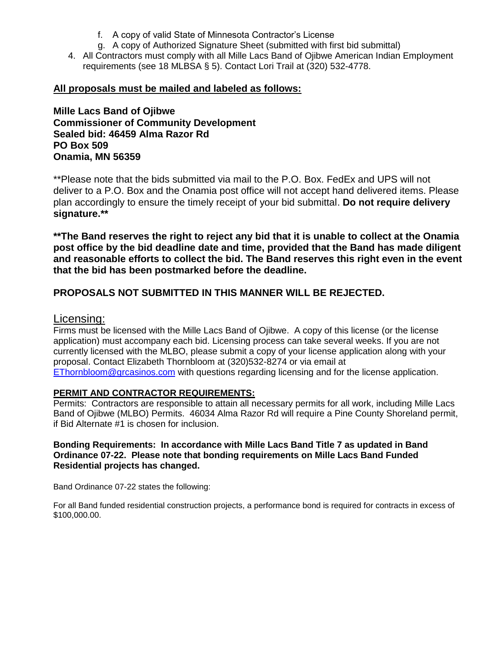- f. A copy of valid State of Minnesota Contractor's License
- g. A copy of Authorized Signature Sheet (submitted with first bid submittal)
- 4. All Contractors must comply with all Mille Lacs Band of Ojibwe American Indian Employment requirements (see 18 MLBSA § 5). Contact Lori Trail at (320) 532-4778.

## **All proposals must be mailed and labeled as follows:**

**Mille Lacs Band of Ojibwe Commissioner of Community Development Sealed bid: 46459 Alma Razor Rd PO Box 509 Onamia, MN 56359**

\*\*Please note that the bids submitted via mail to the P.O. Box. FedEx and UPS will not deliver to a P.O. Box and the Onamia post office will not accept hand delivered items. Please plan accordingly to ensure the timely receipt of your bid submittal. **Do not require delivery signature.\*\***

**\*\*The Band reserves the right to reject any bid that it is unable to collect at the Onamia post office by the bid deadline date and time, provided that the Band has made diligent and reasonable efforts to collect the bid. The Band reserves this right even in the event that the bid has been postmarked before the deadline.**

## **PROPOSALS NOT SUBMITTED IN THIS MANNER WILL BE REJECTED.**

## Licensing:

Firms must be licensed with the Mille Lacs Band of Ojibwe. A copy of this license (or the license application) must accompany each bid. Licensing process can take several weeks. If you are not currently licensed with the MLBO, please submit a copy of your license application along with your proposal. Contact Elizabeth Thornbloom at (320)532-8274 or via email at [EThornbloom@grcasinos.com](mailto:EThornbloom@grcasinos.com) with questions regarding licensing and for the license application.

### **PERMIT AND CONTRACTOR REQUIREMENTS:**

Permits: Contractors are responsible to attain all necessary permits for all work, including Mille Lacs Band of Ojibwe (MLBO) Permits. 46034 Alma Razor Rd will require a Pine County Shoreland permit, if Bid Alternate #1 is chosen for inclusion.

### **Bonding Requirements: In accordance with Mille Lacs Band Title 7 as updated in Band Ordinance 07-22. Please note that bonding requirements on Mille Lacs Band Funded Residential projects has changed.**

Band Ordinance 07-22 states the following:

For all Band funded residential construction projects, a performance bond is required for contracts in excess of \$100,000.00.